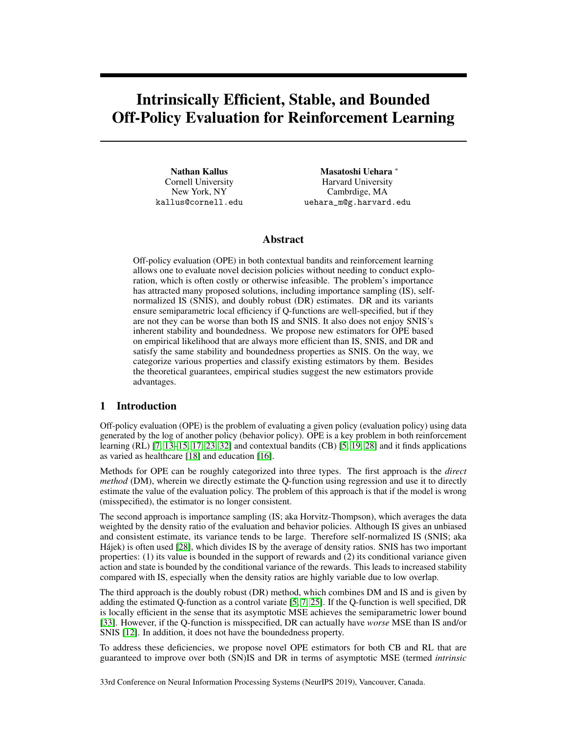# Intrinsically Efficient, Stable, and Bounded Off-Policy Evaluation for Reinforcement Learning

Nathan Kallus Cornell University New York, NY kallus@cornell.edu

Masatoshi Uehara <sup>∗</sup> Harvard University Cambrdige, MA uehara\_m@g.harvard.edu

## Abstract

Off-policy evaluation (OPE) in both contextual bandits and reinforcement learning allows one to evaluate novel decision policies without needing to conduct exploration, which is often costly or otherwise infeasible. The problem's importance has attracted many proposed solutions, including importance sampling (IS), selfnormalized IS (SNIS), and doubly robust (DR) estimates. DR and its variants ensure semiparametric local efficiency if Q-functions are well-specified, but if they are not they can be worse than both IS and SNIS. It also does not enjoy SNIS's inherent stability and boundedness. We propose new estimators for OPE based on empirical likelihood that are always more efficient than IS, SNIS, and DR and satisfy the same stability and boundedness properties as SNIS. On the way, we categorize various properties and classify existing estimators by them. Besides the theoretical guarantees, empirical studies suggest the new estimators provide advantages.

# 1 Introduction

Off-policy evaluation (OPE) is the problem of evaluating a given policy (evaluation policy) using data generated by the log of another policy (behavior policy). OPE is a key problem in both reinforcement learning (RL) [\[7,](#page-8-0) [13–](#page-8-1)[15,](#page-8-2) [17,](#page-8-3) [23,](#page-9-0) [32\]](#page-9-1) and contextual bandits (CB) [\[5,](#page-8-4) [19,](#page-9-2) [28\]](#page-9-3) and it finds applications as varied as healthcare [\[18\]](#page-9-4) and education [\[16\]](#page-8-5).

Methods for OPE can be roughly categorized into three types. The first approach is the *direct method* (DM), wherein we directly estimate the Q-function using regression and use it to directly estimate the value of the evaluation policy. The problem of this approach is that if the model is wrong (misspecified), the estimator is no longer consistent.

The second approach is importance sampling (IS; aka Horvitz-Thompson), which averages the data weighted by the density ratio of the evaluation and behavior policies. Although IS gives an unbiased and consistent estimate, its variance tends to be large. Therefore self-normalized IS (SNIS; aka Hájek) is often used [\[28\]](#page-9-3), which divides IS by the average of density ratios. SNIS has two important properties: (1) its value is bounded in the support of rewards and (2) its conditional variance given action and state is bounded by the conditional variance of the rewards. This leads to increased stability compared with IS, especially when the density ratios are highly variable due to low overlap.

The third approach is the doubly robust (DR) method, which combines DM and IS and is given by adding the estimated Q-function as a control variate [\[5,](#page-8-4) [7,](#page-8-0) [25\]](#page-9-5). If the Q-function is well specified, DR is locally efficient in the sense that its asymptotic MSE achieves the semiparametric lower bound [\[33\]](#page-9-6). However, if the Q-function is misspecified, DR can actually have *worse* MSE than IS and/or SNIS [\[12\]](#page-8-6). In addition, it does not have the boundedness property.

To address these deficiencies, we propose novel OPE estimators for both CB and RL that are guaranteed to improve over both (SN)IS and DR in terms of asymptotic MSE (termed *intrinsic*

33rd Conference on Neural Information Processing Systems (NeurIPS 2019), Vancouver, Canada.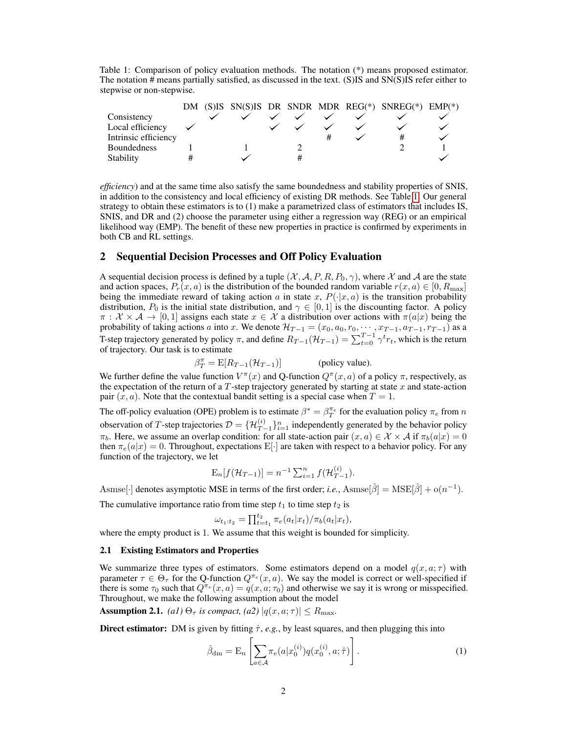<span id="page-1-0"></span>Table 1: Comparison of policy evaluation methods. The notation (\*) means proposed estimator. The notation # means partially satisfied, as discussed in the text. (S)IS and SN(S)IS refer either to stepwise or non-stepwise.

|                      |  |  |  | DM (S)IS SN(S)IS DR SNDR MDR REG(*) SNREG(*) EMP(*) |  |
|----------------------|--|--|--|-----------------------------------------------------|--|
| Consistency          |  |  |  |                                                     |  |
| Local efficiency     |  |  |  |                                                     |  |
| Intrinsic efficiency |  |  |  |                                                     |  |
| <b>Boundedness</b>   |  |  |  |                                                     |  |
| Stability            |  |  |  |                                                     |  |

*efficiency*) and at the same time also satisfy the same boundedness and stability properties of SNIS, in addition to the consistency and local efficiency of existing DR methods. See Table [1.](#page-1-0) Our general strategy to obtain these estimators is to (1) make a parametrized class of estimators that includes IS, SNIS, and DR and (2) choose the parameter using either a regression way (REG) or an empirical likelihood way (EMP). The benefit of these new properties in practice is confirmed by experiments in both CB and RL settings.

## 2 Sequential Decision Processes and Off Policy Evaluation

A sequential decision process is defined by a tuple  $(X, \mathcal{A}, P, R, P_0, \gamma)$ , where X and A are the state and action spaces,  $P_r(x, a)$  is the distribution of the bounded random variable  $r(x, a) \in [0, R_{\text{max}}]$ being the immediate reward of taking action a in state x,  $P(\cdot|x, a)$  is the transition probability distribution,  $P_0$  is the initial state distribution, and  $\gamma \in [0,1]$  is the discounting factor. A policy  $\pi : \mathcal{X} \times \mathcal{A} \to [0,1]$  assigns each state  $x \in \mathcal{X}$  a distribution over actions with  $\pi(a|x)$  being the probability of taking actions a into x. We denote  $\mathcal{H}_{T-1} = (x_0, a_0, r_0, \dots, x_{T-1}, a_{T-1}, r_{T-1})$  as a T-step trajectory generated by policy  $\pi$ , and define  $R_{T-1}(\mathcal{H}_{T-1}) = \sum_{t=0}^{T-1} \gamma^t r_t$ , which is the return of trajectory. Our task is to estimate

 $\beta_T^{\pi} = \mathbb{E}[R_{T-1}(\mathcal{H}_{T-1})]$  (policy value).

We further define the value function  $V^{\pi}(x)$  and Q-function  $Q^{\pi}(x, a)$  of a policy  $\pi$ , respectively, as the expectation of the return of a  $T$ -step trajectory generated by starting at state  $x$  and state-action pair  $(x, a)$ . Note that the contextual bandit setting is a special case when  $T = 1$ .

The off-policy evaluation (OPE) problem is to estimate  $\beta^* = \beta_T^{\pi_e}$  for the evaluation policy  $\pi_e$  from n observation of T-step trajectories  $\mathcal{D} = \{\mathcal{H}_{T-1}^{(i)}\}_{i=1}^n$  independently generated by the behavior policy  $\pi_b$ . Here, we assume an overlap condition: for all state-action pair  $(x, a) \in \mathcal{X} \times \mathcal{A}$  if  $\pi_b(a|x) = 0$ then  $\pi_e(a|x) = 0$ . Throughout, expectations E[·] are taken with respect to a behavior policy. For any function of the trajectory, we let

$$
E_n[f(\mathcal{H}_{T-1})] = n^{-1} \sum_{i=1}^n f(\mathcal{H}_{T-1}^{(i)}).
$$

Asmse[ $\cdot$ ] denotes asymptotic MSE in terms of the first order; *i.e.*, Asmse[ $\hat{\beta}$ ] = MSE[ $\hat{\beta}$ ] + o( $n^{-1}$ ).

The cumulative importance ratio from time step  $t_1$  to time step  $t_2$  is

$$
\omega_{t_1:t_2} = \prod_{t=t_1}^{t_2} \pi_e(a_t|x_t) / \pi_b(a_t|x_t),
$$

where the empty product is 1. We assume that this weight is bounded for simplicity.

## 2.1 Existing Estimators and Properties

We summarize three types of estimators. Some estimators depend on a model  $q(x, a; \tau)$  with parameter  $\tau \in \Theta_{\tau}$  for the Q-function  $Q^{\tau e}(x, a)$ . We say the model is correct or well-specified if there is some  $\tau_0$  such that  $Q^{\pi_e}(x, a) = q(x, a; \tau_0)$  and otherwise we say it is wrong or misspecified. Throughout, we make the following assumption about the model

**Assumption 2.1.** *(a1)*  $\Theta_{\tau}$  *is compact, (a2)*  $|q(x, a; \tau)| \le R_{\text{max}}$ .

**Direct estimator:** DM is given by fitting  $\hat{\tau}$ , *e.g.*, by least squares, and then plugging this into

$$
\hat{\beta}_{\rm dm} = E_n \left[ \sum_{a \in \mathcal{A}} \pi_e(a | x_0^{(i)} ) q(x_0^{(i)}, a; \hat{\tau}) \right]. \tag{1}
$$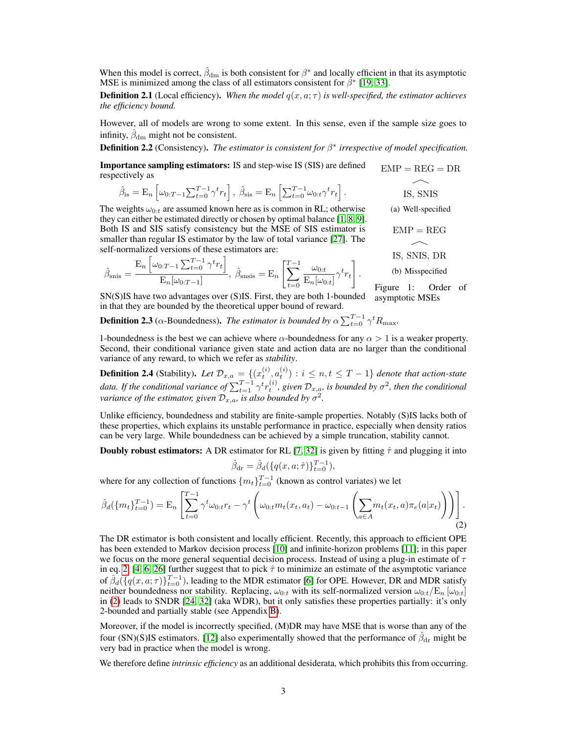When this model is correct,  $\hat{\beta}_{dm}$  is both consistent for  $\beta^*$  and locally efficient in that its asymptotic MSE is minimized among the class of all estimators consistent for  $\beta^*$  [\[19,](#page-9-2) [33\]](#page-9-6).

<span id="page-2-1"></span>**Definition 2.1** (Local efficiency). *When the model*  $q(x, a; \tau)$  *is well-specified, the estimator achieves the efficiency bound.*

However, all of models are wrong to some extent. In this sense, even if the sample size goes to infinity,  $\hat{\beta}_{\text{dm}}$  might not be consistent.

## **Definition 2.2** (Consistency). The estimator is consistent for  $\beta^*$  irrespective of model specification.

 $EMP = REG = DR$ Importance sampling estimators: IS and step-wise IS (SIS) are defined respectively as

$$
\hat{\beta}_{\text{is}} = \mathbf{E}_n \left[ \omega_{0:T-1} \sum_{t=0}^{T-1} \gamma^t r_t \right], \ \hat{\beta}_{\text{sis}} = \mathbf{E}_n \left[ \sum_{t=0}^{T-1} \omega_{0:t} \gamma^t r_t \right].
$$

The weights  $\omega_{0:t}$  are assumed known here as is common in RL; otherwise they can either be estimated directly or chosen by optimal balance [\[1,](#page-8-7) [8,](#page-8-8) [9\]](#page-8-9). Both IS and SIS satisfy consistency but the MSE of SIS estimator is smaller than regular IS estimator by the law of total variance [\[27\]](#page-9-7). The self-normalized versions of these estimators are:

$$
\hat{\beta}_{\text{snis}} = \frac{\mathbf{E}_n \left[ \omega_{0:T-1} \sum_{t=0}^{T-1} \gamma^t r_t \right]}{\mathbf{E}_n[\omega_{0:T-1}]} , \quad \hat{\beta}_{\text{snsis}} = \mathbf{E}_n \left[ \sum_{t=0}^{T-1} \frac{\omega_{0:t}}{\mathbf{E}_n[\omega_{0:t}]} \gamma^t r_t \right].
$$
 (b) M

SN(S)IS have two advantages over (S)IS. First, they are both 1-bounded asymptotic MSEs in that they are bounded by the theoretical upper bound of reward.

**Definition 2.3** ( $\alpha$ -Boundedness). *The estimator is bounded by*  $\alpha \sum_{t=0}^{T-1} \gamma^t R_{\text{max}}$ .

1-boundedness is the best we can achieve where  $\alpha$ -boundedness for any  $\alpha > 1$  is a weaker property. Second, their conditional variance given state and action data are no larger than the conditional variance of any reward, to which we refer as *stability*.

**Definition 2.4** (Stability). Let  $\mathcal{D}_{x,a} = \{(x_t^{(i)}, a_t^{(i)}) : i \leq n, t \leq T-1\}$  denote that action-state data. If the conditional variance of  $\sum_{t=1}^{T-1} \gamma^t r_t^{(i)}$ , given  $\mathcal{D}_{x,a}$ , is bounded by  $\sigma^2$ , then the conditional *variance of the estimator, given*  $\mathcal{D}_{x,a}$ *, is also bounded by*  $\sigma^2$ *.* 

Unlike efficiency, boundedness and stability are finite-sample properties. Notably (S)IS lacks both of these properties, which explains its unstable performance in practice, especially when density ratios can be very large. While boundedness can be achieved by a simple truncation, stability cannot.

**Doubly robust estimators:** A DR estimator for RL [\[7,](#page-8-0) [32\]](#page-9-1) is given by fitting  $\hat{\tau}$  and plugging it into

<span id="page-2-0"></span>
$$
\hat{\beta}_{\rm dr} = \hat{\beta}_d(\{q(x, a; \hat{\tau})\}_{t=0}^{T-1}),
$$

where for any collection of functions  $\{m_t\}_{t=0}^{T-1}$  (known as control variates) we let

$$
\hat{\beta}_d(\{m_t\}_{t=0}^{T-1}) = \mathcal{E}_n \left[ \sum_{t=0}^{T-1} \gamma^t \omega_{0:t} r_t - \gamma^t \left( \omega_{0:t} m_t(x_t, a_t) - \omega_{0:t-1} \left( \sum_{a \in A} m_t(x_t, a) \pi_e(a | x_t) \right) \right) \right].
$$
\n(2)

The DR estimator is both consistent and locally efficient. Recently, this approach to efficient OPE has been extended to Markov decision process [\[10\]](#page-8-10) and infinite-horizon problems [\[11\]](#page-8-11); in this paper we focus on the more general sequential decision process. Instead of using a plug-in estimate of  $\tau$ in eq. [2,](#page-2-0) [\[4,](#page-8-12) [6,](#page-8-13) [26\]](#page-9-8) further suggest that to pick  $\hat{\tau}$  to minimize an estimate of the asymptotic variance of  $\hat{\beta}_d(\{q(x, a; \tau)\}_{t=0}^{T-1})$ , leading to the MDR estimator [\[6\]](#page-8-13) for OPE. However, DR and MDR satisfy neither boundedness nor stability. Replacing,  $\omega_{0:t}$  with its self-normalized version  $\omega_{0:t}/E_n$   $[\omega_{0:t}]$ in [\(2\)](#page-2-0) leads to SNDR [\[24,](#page-9-9) [32\]](#page-9-1) (aka WDR), but it only satisfies these properties partially: it's only 2-bounded and partially stable (see Appendix B).

Moreover, if the model is incorrectly specified, (M)DR may have MSE that is worse than any of the four (SN)(S)IS estimators. [\[12\]](#page-8-6) also experimentally showed that the performance of  $\hat{\beta}_{dr}$  might be very bad in practice when the model is wrong.

We therefore define *intrinsic efficiency* as an additional desiderata, which prohibits this from occurring.

(a) Well-specified  $EMP = REG$  $\overline{\phantom{1}}$ IS, SNIS, DR isspecified l: Order of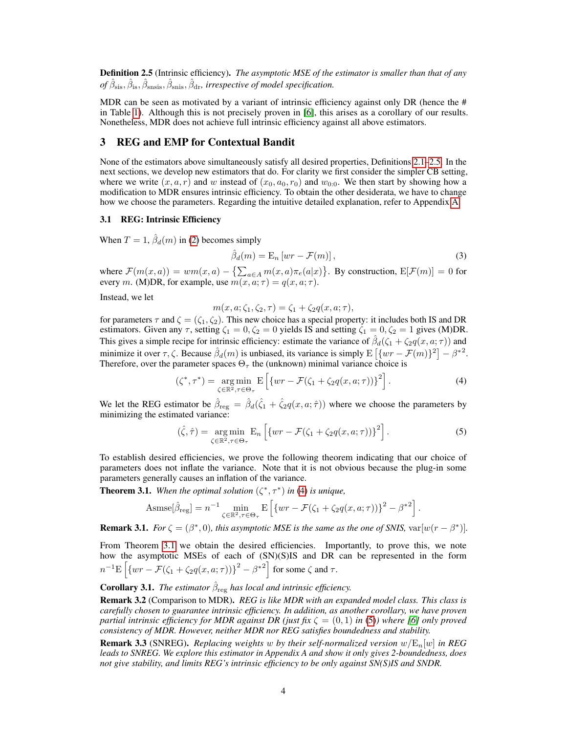<span id="page-3-0"></span>Definition 2.5 (Intrinsic efficiency). *The asymptotic MSE of the estimator is smaller than that of any*  $of \hat{\beta}_{\rm sis}, \hat{\beta}_{\rm ins}, \hat{\beta}_{\rm snis}, \hat{\beta}_{\rm dr},$  irrespective of model specification.

MDR can be seen as motivated by a variant of intrinsic efficiency against only DR (hence the  $#$ in Table [1\)](#page-1-0). Although this is not precisely proven in [\[6\]](#page-8-13), this arises as a corollary of our results. Nonetheless, MDR does not achieve full intrinsic efficiency against all above estimators.

# 3 REG and EMP for Contextual Bandit

None of the estimators above simultaneously satisfy all desired properties, Definitions [2.1–](#page-2-1)[2.5.](#page-3-0) In the next sections, we develop new estimators that do. For clarity we first consider the simpler CB setting, where we write  $(x, a, r)$  and w instead of  $(x_0, a_0, r_0)$  and  $w_{0:0}$ . We then start by showing how a modification to MDR ensures intrinsic efficiency. To obtain the other desiderata, we have to change how we choose the parameters. Regarding the intuitive detailed explanation, refer to Appendix A.

## <span id="page-3-4"></span>3.1 REG: Intrinsic Efficiency

When  $T = 1$ ,  $\hat{\beta}_d(m)$  in [\(2\)](#page-2-0) becomes simply

$$
\hat{\beta}_d(m) = \mathcal{E}_n \left[ wr - \mathcal{F}(m) \right],\tag{3}
$$

where  $\mathcal{F}(m(x,a)) = w m(x,a) - \{\sum_{a \in A} m(x,a) \pi_e(a|x)\}\$ . By construction,  $E[\mathcal{F}(m)] = 0$  for every m. (M)DR, for example, use  $m(x, a; \tau) = q(x, a; \tau)$ .

Instead, we let

<span id="page-3-3"></span><span id="page-3-1"></span>
$$
m(x, a; \zeta_1, \zeta_2, \tau) = \zeta_1 + \zeta_2 q(x, a; \tau),
$$

for parameters  $\tau$  and  $\zeta = (\zeta_1, \zeta_2)$ . This new choice has a special property: it includes both IS and DR estimators. Given any  $\tau$ , setting  $\zeta_1 = 0, \zeta_2 = 0$  yields IS and setting  $\zeta_1 = 0, \zeta_2 = 1$  gives (M)DR. This gives a simple recipe for intrinsic efficiency: estimate the variance of  $\hat{\beta}_d(\zeta_1 + \zeta_2 q(x, a; \tau))$  and minimize it over  $\tau, \zeta$ . Because  $\hat{\beta}_d(m)$  is unbiased, its variance is simply  $\mathrm{E}[\{wr - \mathcal{F}(m)\}^2] - \beta^{*2}$ . Therefore, over the parameter spaces  $\Theta_{\tau}$  the (unknown) minimal variance choice is

$$
(\zeta^*, \tau^*) = \underset{\zeta \in \mathbb{R}^2, \tau \in \Theta_{\tau}}{\arg \min} \mathbb{E}\left[\left\{wr - \mathcal{F}(\zeta_1 + \zeta_2 q(x, a; \tau))\right\}^2\right].\tag{4}
$$

We let the REG estimator be  $\hat{\beta}_{reg} = \hat{\beta}_d(\hat{\zeta}_1 + \hat{\zeta}_2 q(x, a; \hat{\tau}))$  where we choose the parameters by minimizing the estimated variance:

$$
(\hat{\zeta}, \hat{\tau}) = \underset{\zeta \in \mathbb{R}^2, \tau \in \Theta_{\tau}}{\arg \min} \mathbb{E}_n \left[ \{ wr - \mathcal{F}(\zeta_1 + \zeta_2 q(x, a; \tau)) \}^2 \right]. \tag{5}
$$

To establish desired efficiencies, we prove the following theorem indicating that our choice of parameters does not inflate the variance. Note that it is not obvious because the plug-in some parameters generally causes an inflation of the variance.

<span id="page-3-2"></span>**Theorem 3.1.** When the optimal solution  $(\zeta^*, \tau^*)$  in [\(4\)](#page-3-1) is unique,

Assume
$$
[\hat{\beta}_{reg}] = n^{-1} \min_{\zeta \in \mathbb{R}^2, \tau \in \Theta_{\tau}} \mathbb{E} \left[ \{ wr - \mathcal{F}(\zeta_1 + \zeta_2 q(x, a; \tau)) \}^2 - {\beta^*}^2 \right].
$$

**Remark 3.1.** *For*  $\zeta = (\beta^*, 0)$ *, this asymptotic MSE is the same as the one of SNIS,*  $var[w(r - \beta^*)]$ *.* 

From Theorem [3.1](#page-3-2) we obtain the desired efficiencies. Importantly, to prove this, we note how the asymptotic MSEs of each of (SN)(S)IS and DR can be represented in the form  $n^{-1} \mathbf{E} \left[ \{ wr - \mathcal{F}(\zeta_1 + \zeta_2 q(x, a; \tau)) \}^2 - \beta^{*2} \right]$  for some  $\zeta$  and  $\tau$ .

**Corollary 3.1.** *The estimator*  $\hat{\beta}_{reg}$  *has local and intrinsic efficiency.* 

Remark 3.2 (Comparison to MDR). *REG is like MDR with an expanded model class. This class is carefully chosen to guarantee intrinsic efficiency. In addition, as another corollary, we have proven partial intrinsic efficiency for MDR against DR (just fix*  $\zeta = (0,1)$  *in* [\(5\)](#page-3-3)*) where [\[6\]](#page-8-13) only proved consistency of MDR. However, neither MDR nor REG satisfies boundedness and stability.*

Remark 3.3 (SNREG). *Replacing weights* w *by their self-normalized version* w/En[w] *in REG leads to SNREG. We explore this estimator in Appendix A and show it only gives 2-boundedness, does not give stability, and limits REG's intrinsic efficiency to be only against SN(S)IS and SNDR.*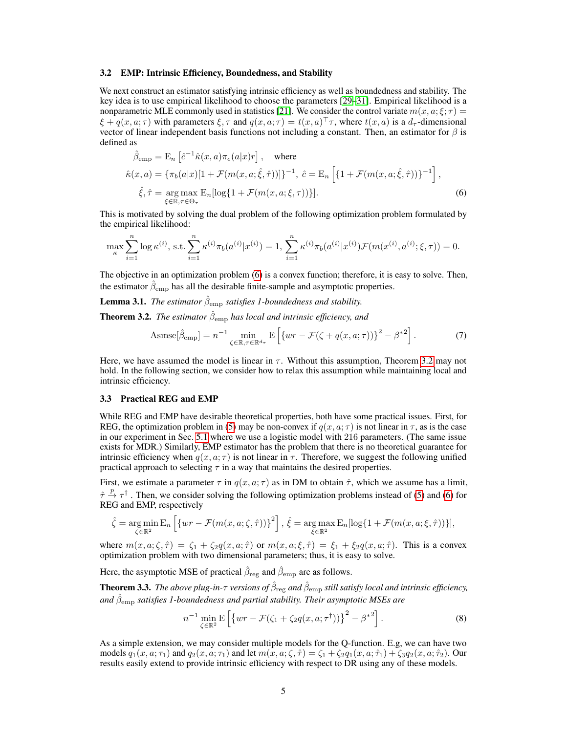#### 3.2 EMP: Intrinsic Efficiency, Boundedness, and Stability

We next construct an estimator satisfying intrinsic efficiency as well as boundedness and stability. The key idea is to use empirical likelihood to choose the parameters [\[29](#page-9-10)[–31\]](#page-9-11). Empirical likelihood is a nonparametric MLE commonly used in statistics [\[21\]](#page-9-12). We consider the control variate  $m(x, a; \xi; \tau)$  =  $\xi + q(x, a; \tau)$  with parameters  $\xi, \tau$  and  $q(x, a; \tau) = t(x, a)^\top \tau$ , where  $t(x, a)$  is a  $d_\tau$ -dimensional vector of linear independent basis functions not including a constant. Then, an estimator for  $\beta$  is defined as

<span id="page-4-0"></span>
$$
\hat{\beta}_{\text{emp}} = \mathbf{E}_n \left[ \hat{c}^{-1} \hat{\kappa}(x, a) \pi_e(a|x) r \right], \quad \text{where}
$$
\n
$$
\hat{\kappa}(x, a) = \{ \pi_b(a|x) [1 + \mathcal{F}(m(x, a; \hat{\xi}, \hat{\tau}))] \}^{-1}, \quad \hat{c} = \mathbf{E}_n \left[ \{ 1 + \mathcal{F}(m(x, a; \hat{\xi}, \hat{\tau})) \}^{-1} \right],
$$
\n
$$
\hat{\xi}, \hat{\tau} = \underset{\xi \in \mathbb{R}, \tau \in \Theta_{\tau}}{\arg \max} \mathbf{E}_n [\log \{ 1 + \mathcal{F}(m(x, a; \xi, \tau)) \}].
$$
\n(6)

This is motivated by solving the dual problem of the following optimization problem formulated by the empirical likelihood:

$$
\max_{\kappa} \sum_{i=1}^{n} \log \kappa^{(i)}, \text{ s.t.} \sum_{i=1}^{n} \kappa^{(i)} \pi_b(a^{(i)} | x^{(i)}) = 1, \sum_{i=1}^{n} \kappa^{(i)} \pi_b(a^{(i)} | x^{(i)}) \mathcal{F}(m(x^{(i)}, a^{(i)}; \xi, \tau)) = 0.
$$

The objective in an optimization problem [\(6\)](#page-4-0) is a convex function; therefore, it is easy to solve. Then, the estimator  $\hat{\beta}_{\text{emp}}$  has all the desirable finite-sample and asymptotic properties.

**Lemma 3.1.** *The estimator*  $\hat{\beta}_{emp}$  *satisfies 1-boundedness and stability.* 

<span id="page-4-1"></span>**Theorem 3.2.** *The estimator*  $\hat{\beta}_{emp}$  *has local and intrinsic efficiency, and* 

$$
\text{Assmse}[\hat{\beta}_{\text{emp}}] = n^{-1} \min_{\zeta \in \mathbb{R}, \tau \in \mathbb{R}^{d_{\tau}}} \mathbf{E}\left[\left\{ wr - \mathcal{F}(\zeta + q(x, a; \tau))\right\}^{2} - \beta^{*2}\right].\tag{7}
$$

Here, we have assumed the model is linear in  $\tau$ . Without this assumption, Theorem [3.2](#page-4-1) may not hold. In the following section, we consider how to relax this assumption while maintaining local and intrinsic efficiency.

### <span id="page-4-2"></span>3.3 Practical REG and EMP

While REG and EMP have desirable theoretical properties, both have some practical issues. First, for REG, the optimization problem in [\(5\)](#page-3-3) may be non-convex if  $q(x, a; \tau)$  is not linear in  $\tau$ , as is the case in our experiment in Sec. [5.1](#page-6-0) where we use a logistic model with 216 parameters. (The same issue exists for MDR.) Similarly, EMP estimator has the problem that there is no theoretical guarantee for intrinsic efficiency when  $q(x, a; \tau)$  is not linear in  $\tau$ . Therefore, we suggest the following unified practical approach to selecting  $\tau$  in a way that maintains the desired properties.

First, we estimate a parameter  $\tau$  in  $q(x, a; \tau)$  as in DM to obtain  $\hat{\tau}$ , which we assume has a limit,  $\hat{\tau} \stackrel{p}{\to} \tau^{\dagger}$ . Then, we consider solving the following optimization problems instead of [\(5\)](#page-3-3) and [\(6\)](#page-4-0) for REG and EMP, respectively

$$
\hat{\zeta} = \underset{\zeta \in \mathbb{R}^2}{\arg \min} \mathbf{E}_n \left[ \{ wr - \mathcal{F}(m(x, a; \zeta, \hat{\tau})) \}^2 \right], \ \hat{\xi} = \underset{\xi \in \mathbb{R}^2}{\arg \max} \mathbf{E}_n [\log \{ 1 + \mathcal{F}(m(x, a; \xi, \hat{\tau})) \}],
$$

where  $m(x, a; \zeta, \hat{\tau}) = \zeta_1 + \zeta_2 q(x, a; \hat{\tau})$  or  $m(x, a; \xi, \hat{\tau}) = \zeta_1 + \zeta_2 q(x, a; \hat{\tau})$ . This is a convex optimization problem with two dimensional parameters; thus, it is easy to solve.

Here, the asymptotic MSE of practical  $\hat{\beta}_{\text{reg}}$  and  $\hat{\beta}_{\text{emp}}$  are as follows.

**Theorem 3.3.** The above plug-in- $\tau$  versions of  $\hat{\beta}_{\text{reg}}$  and  $\hat{\beta}_{\text{emp}}$  still satisfy local and intrinsic efficiency, and  $\hat{\beta}_\text{emp}$  satisfies 1-boundedness and partial stability. Their asymptotic MSEs are

$$
n^{-1} \min_{\zeta \in \mathbb{R}^2} \mathbb{E}\left[\left\{ wr - \mathcal{F}(\zeta_1 + \zeta_2 q(x, a; \tau^{\dagger})) \right\}^2 - \beta^{*2} \right].
$$
 (8)

As a simple extension, we may consider multiple models for the Q-function. E.g, we can have two models  $q_1(x, a; \tau_1)$  and  $q_2(x, a; \tau_1)$  and let  $m(x, a; \zeta, \hat{\tau}) = \zeta_1 + \zeta_2 q_1(x, a; \hat{\tau}_1) + \zeta_3 q_2(x, a; \hat{\tau}_2)$ . Our results easily extend to provide intrinsic efficiency with respect to DR using any of these models.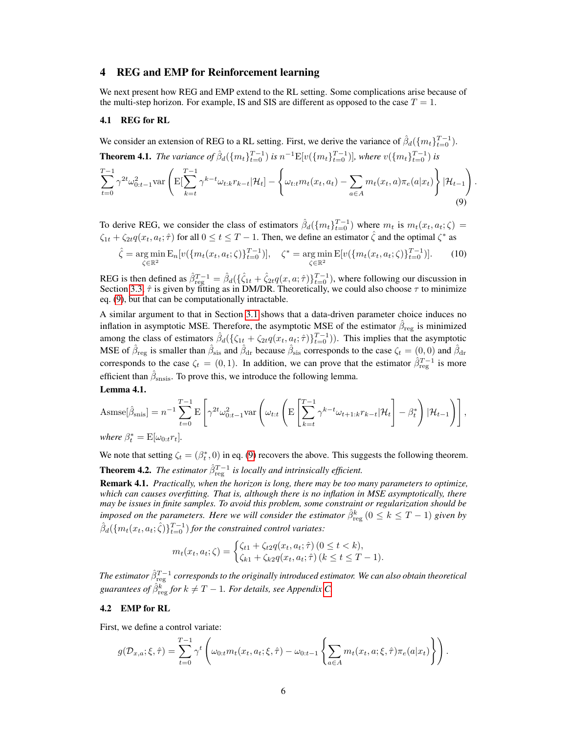## 4 REG and EMP for Reinforcement learning

We next present how REG and EMP extend to the RL setting. Some complications arise because of the multi-step horizon. For example, IS and SIS are different as opposed to the case  $T = 1$ .

#### 4.1 REG for RL

We consider an extension of REG to a RL setting. First, we derive the variance of  $\hat{\beta}_d(\{m_t\}_{t=0}^{T-1})$ . **Theorem 4.1.** *The variance of*  $\hat{\beta}_d({m_t}_{t=0}^{T-1})$  *is*  $n^{-1}E[v({m_t}_{t=0}^{T-1})]$ *, where*  $v({m_t}_{t=0}^{T-1})$  *is*  $\sum^{T-1}$  $t=0$  $\gamma^{2t} \omega_{0:t-1}^2$ var  $\Bigg($ E[  $\sum^{T-1}$  $k = t$  $\gamma^{k-t} \omega_{t:k} r_{k-t}|{\cal H}_t] \sqrt{ }$  $\omega_{t:t} m_t(x_t, a_t) - \sum$ a∈A  $m_t(x_t, a)\pi_e(a|x_t)$  $\mathcal{L}$  $|\mathcal{H}_{t-1}|$  $\setminus$ (9)

<span id="page-5-0"></span>.

To derive REG, we consider the class of estimators  $\hat{\beta}_d(\{m_t\}_{t=0}^{T-1})$  where  $m_t$  is  $m_t(x_t, a_t; \zeta) =$  $\zeta_{1t} + \zeta_{2t} q(x_t, a_t; \hat{\tau})$  for all  $0 \le t \le T - 1$ . Then, we define an estimator  $\hat{\zeta}$  and the optimal  $\zeta^*$  as

$$
\hat{\zeta} = \underset{\zeta \in \mathbb{R}^2}{\arg \min} \mathcal{E}_n[v(\{m_t(x_t, a_t; \zeta)\}_{t=0}^{T-1})], \quad \zeta^* = \underset{\zeta \in \mathbb{R}^2}{\arg \min} \mathcal{E}[v(\{m_t(x_t, a_t; \zeta)\}_{t=0}^{T-1})]. \tag{10}
$$

REG is then defined as  $\hat{\beta}_{\text{reg}}^{T-1} = \hat{\beta}_d(\{\hat{\zeta}_{1t} + \hat{\zeta}_{2t}q(x, a; \hat{\tau})\}_{t=0}^{T-1})$ , where following our discussion in Section [3.3,](#page-4-2)  $\hat{\tau}$  is given by fitting as in DM/DR. Theoretically, we could also choose  $\tau$  to minimize eq. [\(9\)](#page-5-0), but that can be computationally intractable.

A similar argument to that in Section [3.1](#page-3-4) shows that a data-driven parameter choice induces no inflation in asymptotic MSE. Therefore, the asymptotic MSE of the estimator  $\hat{\beta}_\text{reg}$  is minimized among the class of estimators  $\hat{\beta}_d(\{\zeta_{1t} + \zeta_{2t}q(x_t, a_t; \hat{\tau})\}_{t=0}^{T-1})$ ). This implies that the asymptotic MSE of  $\hat{\beta}_{reg}$  is smaller than  $\hat{\beta}_{sis}$  and  $\hat{\beta}_{dr}$  because  $\hat{\beta}_{sis}$  corresponds to the case  $\zeta_t = (0,0)$  and  $\hat{\beta}_{dr}$ corresponds to the case  $\zeta_t = (0,1)$ . In addition, we can prove that the estimator  $\hat{\beta}_{reg}^{T-1}$  is more efficient than  $\hat{\beta}_{\text{snsis}}$ . To prove this, we introduce the following lemma. Lemma 4.1.

$$
\text{Assmse}[\hat{\beta}_{\text{snis}}] = n^{-1} \sum_{t=0}^{T-1} \mathrm{E}\left[\gamma^{2t} \omega_{0:t-1}^2 \mathrm{var}\left(\omega_{t:t} \left(\mathrm{E}\left[\sum_{k=t}^{T-1} \gamma^{k-t} \omega_{t+1:k} r_{k-t} | \mathcal{H}_t\right] - \beta_t^*\right) | \mathcal{H}_{t-1}\right)\right],
$$

*where*  $\beta_t^* = \mathbb{E}[\omega_{0:t}r_t]$ *.* 

We note that setting  $\zeta_t = (\beta_t^*, 0)$  in eq. [\(9\)](#page-5-0) recovers the above. This suggests the following theorem. **Theorem 4.2.** *The estimator*  $\hat{\beta}_{\text{reg}}^{T-1}$  *is locally and intrinsically efficient.* 

Remark 4.1. *Practically, when the horizon is long, there may be too many parameters to optimize, which can causes overfitting. That is, although there is no inflation in MSE asymptotically, there may be issues in finite samples. To avoid this problem, some constraint or regularization should be imposed on the parameters. Here we will consider the estimator*  $\hat{\beta}^k_{\text{reg}}$   $(0 \leq k \leq T-1)$  given by  $\hat{\beta}_d(\lbrace m_t(x_t, a_t; \hat{\zeta}) \rbrace_{t=0}^{T-1})$  for the constrained control variates:

$$
m_t(x_t, a_t; \zeta) = \begin{cases} \zeta_{t1} + \zeta_{t2} q(x_t, a_t; \hat{\tau}) \ (0 \le t < k), \\ \zeta_{k1} + \zeta_{k2} q(x_t, a_t; \hat{\tau}) \ (k \le t \le T - 1). \end{cases}
$$

The estimator  $\hat{\beta}_{\text{reg}}^{T-1}$  corresponds to the originally introduced estimator. We can also obtain theoretical guarantees of  $\hat{\beta}^k_{\text{reg}}$  for  $k \neq T-1$ . For details, see Appendix C.

#### 4.2 EMP for RL

First, we define a control variate:

$$
g(\mathcal{D}_{x,a};\xi,\hat{\tau}) = \sum_{t=0}^{T-1} \gamma^t \left( \omega_{0:t} m_t(x_t, a_t; \xi, \hat{\tau}) - \omega_{0:t-1} \left\{ \sum_{a \in A} m_t(x_t, a; \xi, \hat{\tau}) \pi_e(a|x_t) \right\} \right).
$$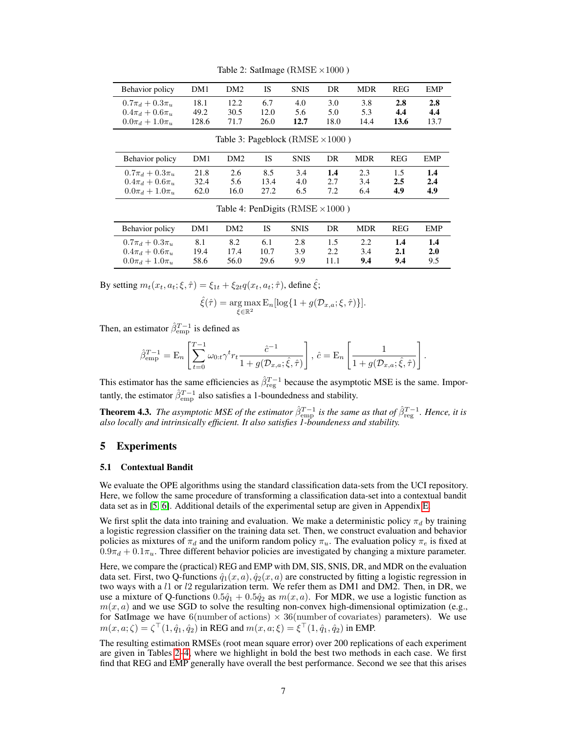| Behavior policy       | DM1   | DM <sub>2</sub> | IS   | <b>SNIS</b> | DR   | <b>MDR</b> | <b>REG</b> | <b>EMP</b> |
|-----------------------|-------|-----------------|------|-------------|------|------------|------------|------------|
| $0.7\pi_d + 0.3\pi_u$ | 18.1  | 12.2            | 6.7  | 4.0         | 3.0  | 3.8        | 2.8        | 2.8        |
| $0.4\pi_d + 0.6\pi_u$ | 49.2  | 30.5            | 12.0 | 5.6         | 5.0  | 5.3        | 4.4        | 4.4        |
| $0.0\pi_d + 1.0\pi_u$ | 128.6 | 71.7            | 26.0 | 12.7        | 18.0 | 14.4       | 13.6       | 13.7       |

Table 3: Pageblock ( $RMSE \times 1000$ )

<span id="page-6-1"></span>Table 2: SatImage ( $RMSE \times 1000$ )

| Behavior policy       | DM1  | DM <sub>2</sub> | IS   | <b>SNIS</b> | DR  | <b>MDR</b> | <b>REG</b> | EMP |
|-----------------------|------|-----------------|------|-------------|-----|------------|------------|-----|
| $0.7\pi_d + 0.3\pi_u$ | 21.8 | 2.6             | 8.5  | 3.4         | 1.4 | 2.3        |            | 1.4 |
| $0.4\pi_d + 0.6\pi_u$ | 32.4 | 5.6             | 13.4 | 4.0         | 2.7 | 3.4        | 2.5        | 2.4 |
| $0.0\pi_d + 1.0\pi_u$ | 62.0 | 16.0            | 27.2 | 6.5         | 7.2 | 6.4        | 4.9        | 4.9 |

<span id="page-6-2"></span>Table 4: PenDigits ( $RMSE \times 1000$ )

| Behavior policy                                                         | DM1                 | DM2                 | 1S                  | <b>SNIS</b>       | DR          | <b>MDR</b> | <b>REG</b>        | EMP               |
|-------------------------------------------------------------------------|---------------------|---------------------|---------------------|-------------------|-------------|------------|-------------------|-------------------|
| $0.7\pi_d + 0.3\pi_u$<br>$0.4\pi_d + 0.6\pi_u$<br>$0.0\pi_d + 1.0\pi_u$ | 8.1<br>19.4<br>58.6 | 8.2<br>17.4<br>56.0 | 6.1<br>10.7<br>29.6 | 2.8<br>3.9<br>9.9 | 1.5<br>11.1 | 3.4<br>9.4 | 1.4<br>2.1<br>9.4 | 1.4<br>2.0<br>9.5 |

By setting  $m_t(x_t, a_t; \xi, \hat{\tau}) = \xi_{1t} + \xi_{2t} q(x_t, a_t; \hat{\tau})$ , define  $\hat{\xi}$ ;

$$
\hat{\xi}(\hat{\tau}) = \underset{\xi \in \mathbb{R}^2}{\arg \max} \mathbf{E}_n[\log\{1 + g(\mathcal{D}_{x,a}; \xi, \hat{\tau})\}].
$$

Then, an estimator  $\hat{\beta}_{emp}^{T-1}$  is defined as

$$
\hat{\beta}_{\rm emp}^{T-1} = \mathbf{E}_n \left[ \sum_{t=0}^{T-1} \omega_{0:t} \gamma^t r_t \frac{\hat{c}^{-1}}{1 + g(\mathcal{D}_{x,a}; \hat{\xi}, \hat{\tau})} \right], \, \hat{c} = \mathbf{E}_n \left[ \frac{1}{1 + g(\mathcal{D}_{x,a}; \hat{\xi}, \hat{\tau})} \right].
$$

This estimator has the same efficiencies as  $\hat{\beta}_{\text{reg}}^{T-1}$  because the asymptotic MSE is the same. Importantly, the estimator  $\hat{\beta}_{\rm emp}^{T-1}$  also satisfies a 1-boundedness and stability.

**Theorem 4.3.** *The asymptotic MSE of the estimator*  $\hat{\beta}_{emp}^{T-1}$  *is the same as that of*  $\hat{\beta}_{reg}^{T-1}$ *. Hence, it is also locally and intrinsically efficient. It also satisfies 1-boundeness and stability.*

## 5 Experiments

#### <span id="page-6-0"></span>5.1 Contextual Bandit

We evaluate the OPE algorithms using the standard classification data-sets from the UCI repository. Here, we follow the same procedure of transforming a classification data-set into a contextual bandit data set as in [\[5,](#page-8-4) [6\]](#page-8-13). Additional details of the experimental setup are given in Appendix E.

We first split the data into training and evaluation. We make a deterministic policy  $\pi_d$  by training a logistic regression classifier on the training data set. Then, we construct evaluation and behavior policies as mixtures of  $\pi_d$  and the uniform random policy  $\pi_u$ . The evaluation policy  $\pi_e$  is fixed at  $0.9\pi_d + 0.1\pi_u$ . Three different behavior policies are investigated by changing a mixture parameter.

Here, we compare the (practical) REG and EMP with DM, SIS, SNIS, DR, and MDR on the evaluation data set. First, two Q-functions  $\hat{q}_1(x, a), \hat{q}_2(x, a)$  are constructed by fitting a logistic regression in two ways with a  $l1$  or  $l2$  regularization term. We refer them as DM1 and DM2. Then, in DR, we use a mixture of Q-functions  $0.5\hat{q}_1 + 0.5\hat{q}_2$  as  $m(x, a)$ . For MDR, we use a logistic function as  $m(x, a)$  and we use SGD to solve the resulting non-convex high-dimensional optimization (e.g., for SatImage we have 6(number of actions)  $\times$  36(number of covariates) parameters). We use  $m(x, a; \zeta) = \zeta^{\top}(1, \hat{q}_1, \hat{q}_2)$  in REG and  $m(x, a; \xi) = \xi^{\top}(1, \hat{q}_1, \hat{q}_2)$  in EMP.

The resulting estimation RMSEs (root mean square error) over 200 replications of each experiment are given in Tables [2–](#page-6-1)[4,](#page-6-2) where we highlight in bold the best two methods in each case. We first find that REG and EMP generally have overall the best performance. Second we see that this arises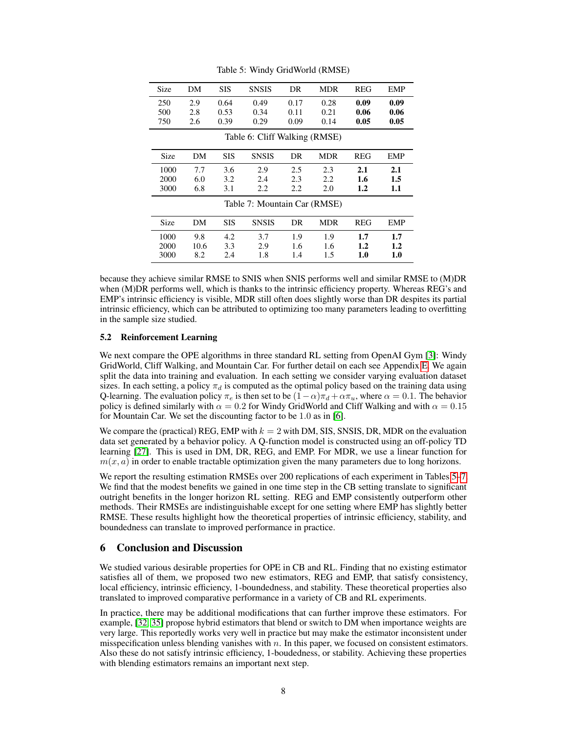| Size                         | DM   | <b>SIS</b> | <b>SNSIS</b>                  | DR   | MDR        | REG     | <b>EMP</b> |  |  |
|------------------------------|------|------------|-------------------------------|------|------------|---------|------------|--|--|
| 250                          | 2.9  | 0.64       | 0.49                          | 0.17 | 0.28       | 0.09    | 0.09       |  |  |
| 500                          | 2.8  | 0.53       | 0.34                          | 0.11 | 0.21       | 0.06    | 0.06       |  |  |
| 750                          | 2.6  | 0.39       | 0.29                          | 0.09 | 0.14       | 0.05    | 0.05       |  |  |
|                              |      |            | Table 6: Cliff Walking (RMSE) |      |            |         |            |  |  |
| Size                         | DM   | <b>SIS</b> | <b>SNSIS</b>                  | DR.  | <b>MDR</b> | REG     | <b>EMP</b> |  |  |
| 1000                         | 7.7  | 3.6        | 2.9                           | 2.5  | 2.3        | 2.1     | 2.1        |  |  |
| 2000                         | 6.0  | 3.2        | 2.4                           | 2.3  | 2.2        | 1.6     | 1.5        |  |  |
| 3000                         | 6.8  | 3.1        | 2.2                           | 2.2  | 2.0        | $1.2\,$ | 1.1        |  |  |
| Table 7: Mountain Car (RMSE) |      |            |                               |      |            |         |            |  |  |
| Size                         | DM   | <b>SIS</b> | <b>SNSIS</b>                  | DR   | MDR        | REG     | EMP        |  |  |
| 1000                         | 9.8  | 4.2        | 3.7                           | 1.9  | 1.9        | 1.7     | 1.7        |  |  |
| 2000                         | 10.6 | 3.3        | 2.9                           | 1.6  | 1.6        | $1.2\,$ | 1.2        |  |  |
| 3000                         | 8.2  | 2.4        | 1.8                           | 1.4  | 1.5        | 1.0     | 1.0        |  |  |

<span id="page-7-1"></span><span id="page-7-0"></span>Table 5: Windy GridWorld (RMSE)

because they achieve similar RMSE to SNIS when SNIS performs well and similar RMSE to (M)DR when (M)DR performs well, which is thanks to the intrinsic efficiency property. Whereas REG's and EMP's intrinsic efficiency is visible, MDR still often does slightly worse than DR despites its partial intrinsic efficiency, which can be attributed to optimizing too many parameters leading to overfitting in the sample size studied.

## 5.2 Reinforcement Learning

We next compare the OPE algorithms in three standard RL setting from OpenAI Gym [\[3\]](#page-8-14): Windy GridWorld, Cliff Walking, and Mountain Car. For further detail on each see Appendix E. We again split the data into training and evaluation. In each setting we consider varying evaluation dataset sizes. In each setting, a policy  $\pi_d$  is computed as the optimal policy based on the training data using Q-learning. The evaluation policy  $\pi_e$  is then set to be  $(1-\alpha)\pi_d + \alpha\pi_u$ , where  $\alpha = 0.1$ . The behavior policy is defined similarly with  $\alpha = 0.2$  for Windy GridWorld and Cliff Walking and with  $\alpha = 0.15$ for Mountain Car. We set the discounting factor to be 1.0 as in [\[6\]](#page-8-13).

We compare the (practical) REG, EMP with  $k = 2$  with DM, SIS, SNSIS, DR, MDR on the evaluation data set generated by a behavior policy. A Q-function model is constructed using an off-policy TD learning [\[27\]](#page-9-7). This is used in DM, DR, REG, and EMP. For MDR, we use a linear function for  $m(x, a)$  in order to enable tractable optimization given the many parameters due to long horizons.

We report the resulting estimation RMSEs over 200 replications of each experiment in Tables [5](#page-7-0)[–7.](#page-7-1) We find that the modest benefits we gained in one time step in the CB setting translate to significant outright benefits in the longer horizon RL setting. REG and EMP consistently outperform other methods. Their RMSEs are indistinguishable except for one setting where EMP has slightly better RMSE. These results highlight how the theoretical properties of intrinsic efficiency, stability, and boundedness can translate to improved performance in practice.

## 6 Conclusion and Discussion

We studied various desirable properties for OPE in CB and RL. Finding that no existing estimator satisfies all of them, we proposed two new estimators, REG and EMP, that satisfy consistency, local efficiency, intrinsic efficiency, 1-boundedness, and stability. These theoretical properties also translated to improved comparative performance in a variety of CB and RL experiments.

In practice, there may be additional modifications that can further improve these estimators. For example, [\[32,](#page-9-1) [35\]](#page-9-13) propose hybrid estimators that blend or switch to DM when importance weights are very large. This reportedly works very well in practice but may make the estimator inconsistent under misspecification unless blending vanishes with  $n$ . In this paper, we focused on consistent estimators. Also these do not satisfy intrinsic efficiency, 1-boudedness, or stability. Achieving these properties with blending estimators remains an important next step.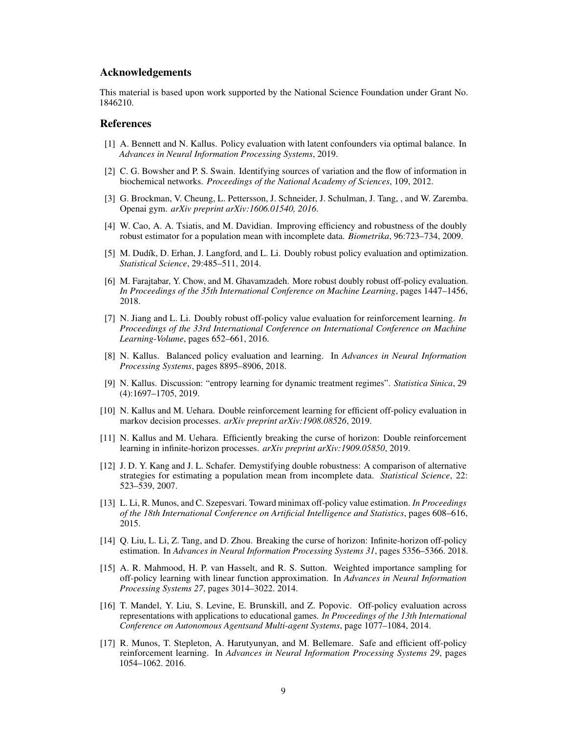## Acknowledgements

This material is based upon work supported by the National Science Foundation under Grant No. 1846210.

## References

- <span id="page-8-7"></span>[1] A. Bennett and N. Kallus. Policy evaluation with latent confounders via optimal balance. In *Advances in Neural Information Processing Systems*, 2019.
- [2] C. G. Bowsher and P. S. Swain. Identifying sources of variation and the flow of information in biochemical networks. *Proceedings of the National Academy of Sciences*, 109, 2012.
- <span id="page-8-14"></span>[3] G. Brockman, V. Cheung, L. Pettersson, J. Schneider, J. Schulman, J. Tang, , and W. Zaremba. Openai gym. *arXiv preprint arXiv:1606.01540, 2016*.
- <span id="page-8-12"></span>[4] W. Cao, A. A. Tsiatis, and M. Davidian. Improving efficiency and robustness of the doubly robust estimator for a population mean with incomplete data. *Biometrika*, 96:723–734, 2009.
- <span id="page-8-4"></span>[5] M. Dudík, D. Erhan, J. Langford, and L. Li. Doubly robust policy evaluation and optimization. *Statistical Science*, 29:485–511, 2014.
- <span id="page-8-13"></span>[6] M. Farajtabar, Y. Chow, and M. Ghavamzadeh. More robust doubly robust off-policy evaluation. *In Proceedings of the 35th International Conference on Machine Learning*, pages 1447–1456, 2018.
- <span id="page-8-0"></span>[7] N. Jiang and L. Li. Doubly robust off-policy value evaluation for reinforcement learning. *In Proceedings of the 33rd International Conference on International Conference on Machine Learning-Volume*, pages 652–661, 2016.
- <span id="page-8-8"></span>[8] N. Kallus. Balanced policy evaluation and learning. In *Advances in Neural Information Processing Systems*, pages 8895–8906, 2018.
- <span id="page-8-9"></span>[9] N. Kallus. Discussion: "entropy learning for dynamic treatment regimes". *Statistica Sinica*, 29 (4):1697–1705, 2019.
- <span id="page-8-10"></span>[10] N. Kallus and M. Uehara. Double reinforcement learning for efficient off-policy evaluation in markov decision processes. *arXiv preprint arXiv:1908.08526*, 2019.
- <span id="page-8-11"></span>[11] N. Kallus and M. Uehara. Efficiently breaking the curse of horizon: Double reinforcement learning in infinite-horizon processes. *arXiv preprint arXiv:1909.05850*, 2019.
- <span id="page-8-6"></span>[12] J. D. Y. Kang and J. L. Schafer. Demystifying double robustness: A comparison of alternative strategies for estimating a population mean from incomplete data. *Statistical Science*, 22: 523–539, 2007.
- <span id="page-8-1"></span>[13] L. Li, R. Munos, and C. Szepesvari. Toward minimax off-policy value estimation. *In Proceedings of the 18th International Conference on Artificial Intelligence and Statistics*, pages 608–616, 2015.
- [14] Q. Liu, L. Li, Z. Tang, and D. Zhou. Breaking the curse of horizon: Infinite-horizon off-policy estimation. In *Advances in Neural Information Processing Systems 31*, pages 5356–5366. 2018.
- <span id="page-8-2"></span>[15] A. R. Mahmood, H. P. van Hasselt, and R. S. Sutton. Weighted importance sampling for off-policy learning with linear function approximation. In *Advances in Neural Information Processing Systems 27*, pages 3014–3022. 2014.
- <span id="page-8-5"></span>[16] T. Mandel, Y. Liu, S. Levine, E. Brunskill, and Z. Popovic. Off-policy evaluation across representations with applications to educational games. *In Proceedings of the 13th International Conference on Autonomous Agentsand Multi-agent Systems*, page 1077–1084, 2014.
- <span id="page-8-3"></span>[17] R. Munos, T. Stepleton, A. Harutyunyan, and M. Bellemare. Safe and efficient off-policy reinforcement learning. In *Advances in Neural Information Processing Systems 29*, pages 1054–1062. 2016.